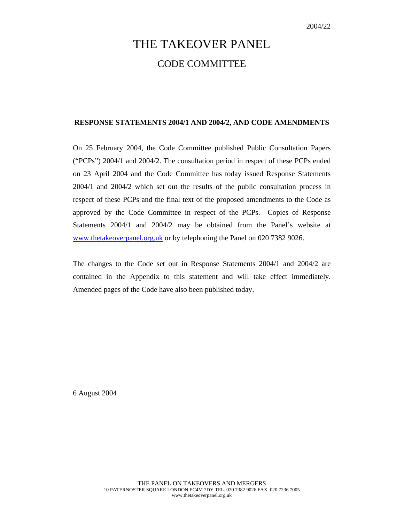# THE TAKEOVER PANEL CODE COMMITTEE

## **RESPONSE STATEMENTS 2004/1 AND 2004/2, AND CODE AMENDMENTS**

On 25 February 2004, the Code Committee published Public Consultation Papers ("PCPs") 2004/1 and 2004/2. The consultation period in respect of these PCPs ended on 23 April 2004 and the Code Committee has today issued Response Statements 2004/1 and 2004/2 which set out the results of the public consultation process in respect of these PCPs and the final text of the proposed amendments to the Code as approved by the Code Committee in respect of the PCPs. Copies of Response Statements 2004/1 and 2004/2 may be obtained from the Panel's website at www.thetakeoverpanel.org.uk or by telephoning the Panel on 020 7382 9026.

The changes to the Code set out in Response Statements 2004/1 and 2004/2 are contained in the Appendix to this statement and will take effect immediately. Amended pages of the Code have also been published today.

6 August 2004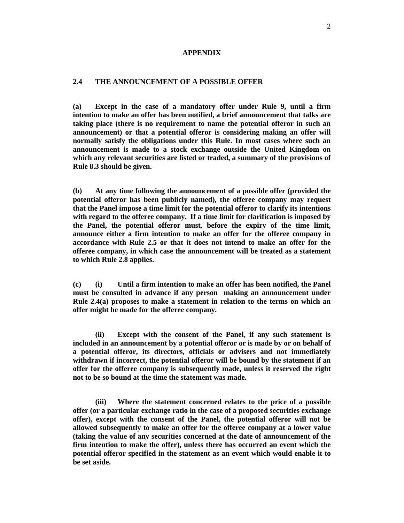#### **APPENDIX**

## **2.4 THE ANNOUNCEMENT OF A POSSIBLE OFFER**

**(a) Except in the case of a mandatory offer under Rule 9, until a firm intention to make an offer has been notified, a brief announcement that talks are taking place (there is no requirement to name the potential offeror in such an announcement) or that a potential offeror is considering making an offer will normally satisfy the obligations under this Rule. In most cases where such an announcement is made to a stock exchange outside the United Kingdom on which any relevant securities are listed or traded, a summary of the provisions of Rule 8.3 should be given.** 

**(b) At any time following the announcement of a possible offer (provided the potential offeror has been publicly named), the offeree company may request that the Panel impose a time limit for the potential offeror to clarify its intentions with regard to the offeree company. If a time limit for clarification is imposed by the Panel, the potential offeror must, before the expiry of the time limit, announce either a firm intention to make an offer for the offeree company in accordance with Rule 2.5 or that it does not intend to make an offer for the offeree company, in which case the announcement will be treated as a statement to which Rule 2.8 applies.** 

**(c) (i) Until a firm intention to make an offer has been notified, the Panel must be consulted in advance if any person making an announcement under Rule 2.4(a) proposes to make a statement in relation to the terms on which an offer might be made for the offeree company.** 

**(ii) Except with the consent of the Panel, if any such statement is included in an announcement by a potential offeror or is made by or on behalf of a potential offeror, its directors, officials or advisers and not immediately withdrawn if incorrect, the potential offeror will be bound by the statement if an offer for the offeree company is subsequently made, unless it reserved the right not to be so bound at the time the statement was made.** 

**(iii) Where the statement concerned relates to the price of a possible offer (or a particular exchange ratio in the case of a proposed securities exchange offer), except with the consent of the Panel, the potential offeror will not be allowed subsequently to make an offer for the offeree company at a lower value (taking the value of any securities concerned at the date of announcement of the firm intention to make the offer), unless there has occurred an event which the potential offeror specified in the statement as an event which would enable it to be set aside.**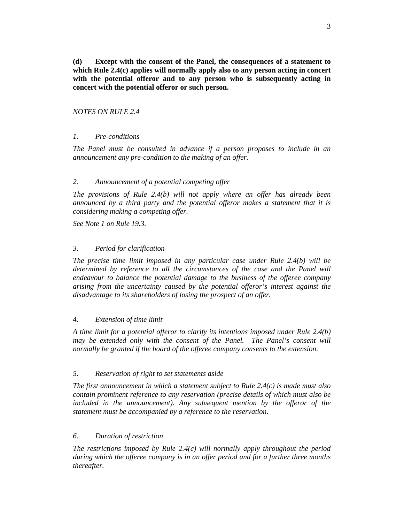**(d) Except with the consent of the Panel, the consequences of a statement to which Rule 2.4(c) applies will normally apply also to any person acting in concert with the potential offeror and to any person who is subsequently acting in concert with the potential offeror or such person.** 

## *NOTES ON RULE 2.4*

# *1. Pre-conditions*

*The Panel must be consulted in advance if a person proposes to include in an announcement any pre-condition to the making of an offer.* 

## *2. Announcement of a potential competing offer*

*The provisions of Rule 2.4(b) will not apply where an offer has already been announced by a third party and the potential offeror makes a statement that it is considering making a competing offer.* 

*See Note 1 on Rule 19.3.* 

#### *3. Period for clarification*

*The precise time limit imposed in any particular case under Rule 2.4(b) will be determined by reference to all the circumstances of the case and the Panel will endeavour to balance the potential damage to the business of the offeree company arising from the uncertainty caused by the potential offeror's interest against the disadvantage to its shareholders of losing the prospect of an offer.* 

#### *4. Extension of time limit*

*A time limit for a potential offeror to clarify its intentions imposed under Rule 2.4(b) may be extended only with the consent of the Panel. The Panel's consent will normally be granted if the board of the offeree company consents to the extension.* 

#### *5. Reservation of right to set statements aside*

*The first announcement in which a statement subject to Rule 2.4(c) is made must also contain prominent reference to any reservation (precise details of which must also be*  included in the announcement). Any subsequent mention by the offeror of the *statement must be accompanied by a reference to the reservation.* 

#### *6. Duration of restriction*

*The restrictions imposed by Rule 2.4(c) will normally apply throughout the period during which the offeree company is in an offer period and for a further three months thereafter.*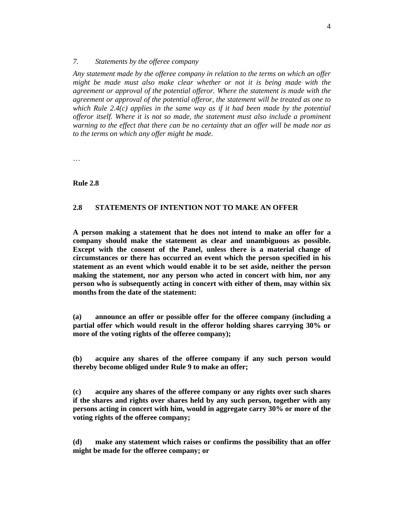#### *7. Statements by the offeree company*

*Any statement made by the offeree company in relation to the terms on which an offer might be made must also make clear whether or not it is being made with the agreement or approval of the potential offeror. Where the statement is made with the agreement or approval of the potential offeror, the statement will be treated as one to which Rule 2.4(c) applies in the same way as if it had been made by the potential offeror itself. Where it is not so made, the statement must also include a prominent warning to the effect that there can be no certainty that an offer will be made nor as to the terms on which any offer might be made.*

…

#### **Rule 2.8**

## **2.8 STATEMENTS OF INTENTION NOT TO MAKE AN OFFER**

**A person making a statement that he does not intend to make an offer for a company should make the statement as clear and unambiguous as possible. Except with the consent of the Panel, unless there is a material change of circumstances or there has occurred an event which the person specified in his statement as an event which would enable it to be set aside, neither the person making the statement, nor any person who acted in concert with him, nor any person who is subsequently acting in concert with either of them, may within six months from the date of the statement:** 

**(a) announce an offer or possible offer for the offeree company (including a partial offer which would result in the offeror holding shares carrying 30% or more of the voting rights of the offeree company);** 

**(b) acquire any shares of the offeree company if any such person would thereby become obliged under Rule 9 to make an offer;** 

**(c) acquire any shares of the offeree company or any rights over such shares if the shares and rights over shares held by any such person, together with any persons acting in concert with him, would in aggregate carry 30% or more of the voting rights of the offeree company;** 

**(d) make any statement which raises or confirms the possibility that an offer might be made for the offeree company; or**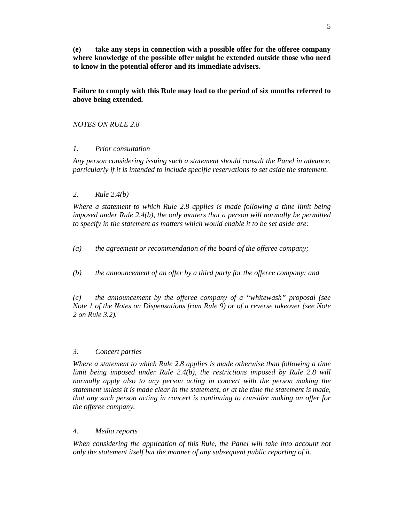**(e) take any steps in connection with a possible offer for the offeree company where knowledge of the possible offer might be extended outside those who need to know in the potential offeror and its immediate advisers.** 

**Failure to comply with this Rule may lead to the period of six months referred to above being extended.** 

*NOTES ON RULE 2.8* 

# *1. Prior consultation*

*Any person considering issuing such a statement should consult the Panel in advance, particularly if it is intended to include specific reservations to set aside the statement.* 

# *2. Rule 2.4(b)*

*Where a statement to which Rule 2.8 applies is made following a time limit being imposed under Rule 2.4(b), the only matters that a person will normally be permitted to specify in the statement as matters which would enable it to be set aside are:* 

*(a) the agreement or recommendation of the board of the offeree company;* 

*(b) the announcement of an offer by a third party for the offeree company; and* 

*(c) the announcement by the offeree company of a "whitewash" proposal (see Note 1 of the Notes on Dispensations from Rule 9) or of a reverse takeover (see Note 2 on Rule 3.2).* 

# *3. Concert parties*

*Where a statement to which Rule 2.8 applies is made otherwise than following a time limit being imposed under Rule 2.4(b), the restrictions imposed by Rule 2.8 will normally apply also to any person acting in concert with the person making the statement unless it is made clear in the statement, or at the time the statement is made, that any such person acting in concert is continuing to consider making an offer for the offeree company.* 

# *4. Media reports*

*When considering the application of this Rule, the Panel will take into account not only the statement itself but the manner of any subsequent public reporting of it.*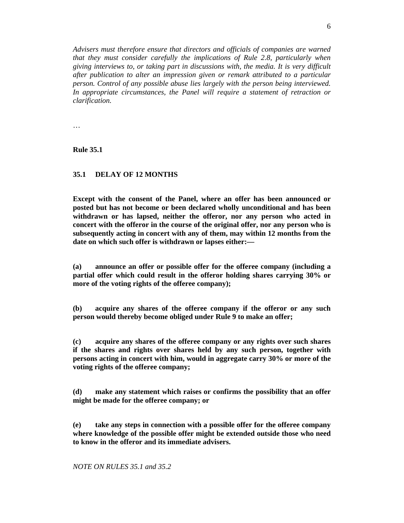*Advisers must therefore ensure that directors and officials of companies are warned that they must consider carefully the implications of Rule 2.8, particularly when giving interviews to, or taking part in discussions with, the media. It is very difficult after publication to alter an impression given or remark attributed to a particular person. Control of any possible abuse lies largely with the person being interviewed.*  In appropriate circumstances, the Panel will require a statement of retraction or *clarification.* 

…

**Rule 35.1** 

## **35.1 DELAY OF 12 MONTHS**

**Except with the consent of the Panel, where an offer has been announced or posted but has not become or been declared wholly unconditional and has been withdrawn or has lapsed, neither the offeror, nor any person who acted in concert with the offeror in the course of the original offer, nor any person who is subsequently acting in concert with any of them, may within 12 months from the date on which such offer is withdrawn or lapses either:—** 

**(a) announce an offer or possible offer for the offeree company (including a partial offer which could result in the offeror holding shares carrying 30% or more of the voting rights of the offeree company);** 

**(b) acquire any shares of the offeree company if the offeror or any such person would thereby become obliged under Rule 9 to make an offer;** 

**(c) acquire any shares of the offeree company or any rights over such shares if the shares and rights over shares held by any such person, together with persons acting in concert with him, would in aggregate carry 30% or more of the voting rights of the offeree company;** 

**(d) make any statement which raises or confirms the possibility that an offer might be made for the offeree company; or** 

**(e) take any steps in connection with a possible offer for the offeree company where knowledge of the possible offer might be extended outside those who need to know in the offeror and its immediate advisers.** 

*NOTE ON RULES 35.1 and 35.2*